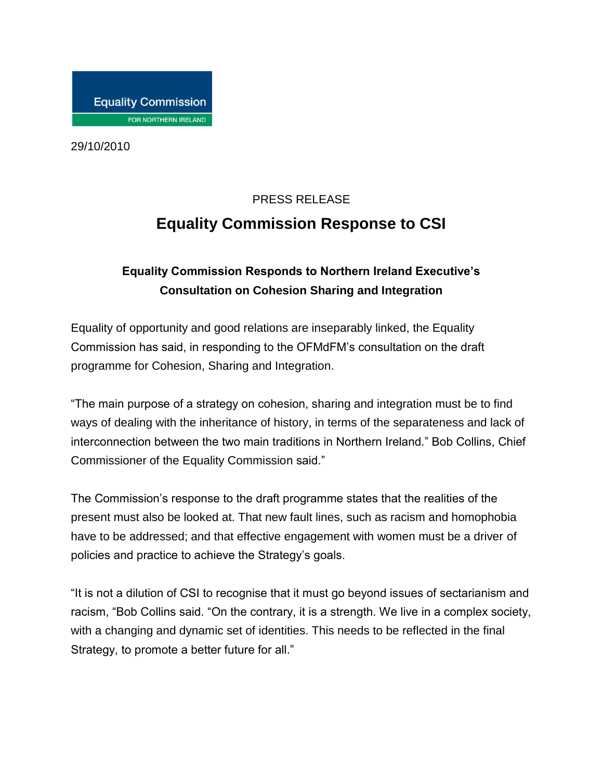29/10/2010

## PRESS RELEASE **Equality Commission Response to CSI**

## **Equality Commission Responds to Northern Ireland Executive's Consultation on Cohesion Sharing and Integration**

Equality of opportunity and good relations are inseparably linked, the Equality Commission has said, in responding to the OFMdFM's consultation on the draft programme for Cohesion, Sharing and Integration.

"The main purpose of a strategy on cohesion, sharing and integration must be to find ways of dealing with the inheritance of history, in terms of the separateness and lack of interconnection between the two main traditions in Northern Ireland." Bob Collins, Chief Commissioner of the Equality Commission said."

The Commission's response to the draft programme states that the realities of the present must also be looked at. That new fault lines, such as racism and homophobia have to be addressed; and that effective engagement with women must be a driver of policies and practice to achieve the Strategy's goals.

"It is not a dilution of CSI to recognise that it must go beyond issues of sectarianism and racism, "Bob Collins said. "On the contrary, it is a strength. We live in a complex society, with a changing and dynamic set of identities. This needs to be reflected in the final Strategy, to promote a better future for all."